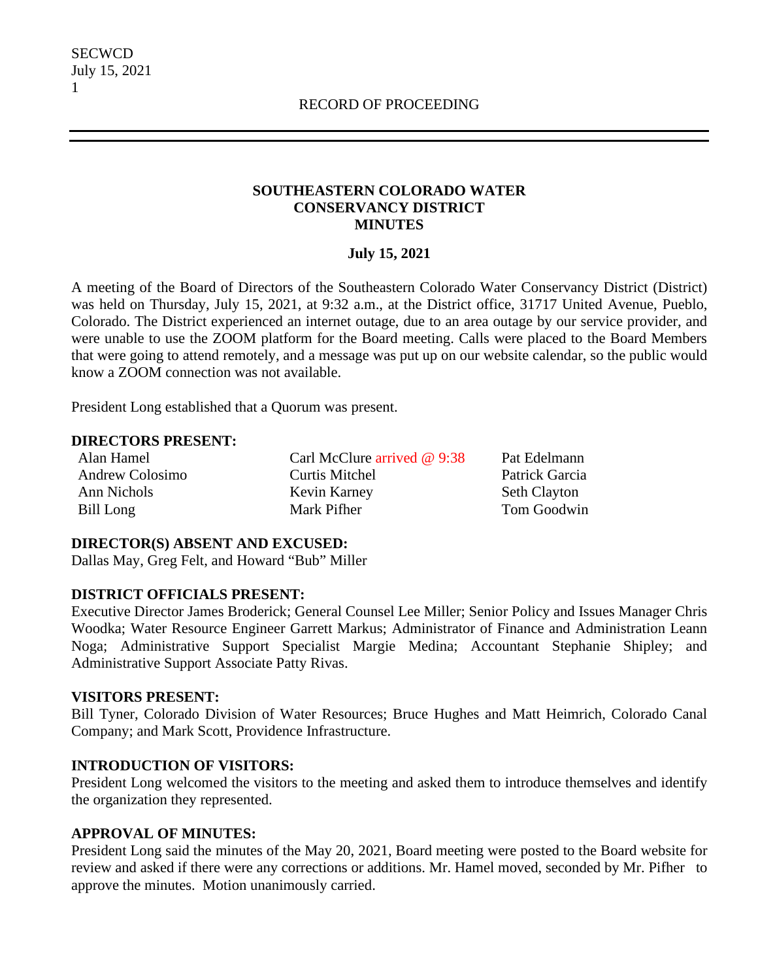### **SOUTHEASTERN COLORADO WATER CONSERVANCY DISTRICT MINUTES**

#### **July 15, 2021**

A meeting of the Board of Directors of the Southeastern Colorado Water Conservancy District (District) was held on Thursday, July 15, 2021, at 9:32 a.m., at the District office, 31717 United Avenue, Pueblo, Colorado. The District experienced an internet outage, due to an area outage by our service provider, and were unable to use the ZOOM platform for the Board meeting. Calls were placed to the Board Members that were going to attend remotely, and a message was put up on our website calendar, so the public would know a ZOOM connection was not available.

President Long established that a Quorum was present.

#### **DIRECTORS PRESENT:**

Alan Hamel Andrew Colosimo Ann Nichols Bill Long

Carl McClure arrived @ 9:38 Curtis Mitchel Kevin Karney Mark Pifher

Pat Edelmann Patrick Garcia Seth Clayton Tom Goodwin

#### **DIRECTOR(S) ABSENT AND EXCUSED:**

Dallas May, Greg Felt, and Howard "Bub" Miller

### **DISTRICT OFFICIALS PRESENT:**

Executive Director James Broderick; General Counsel Lee Miller; Senior Policy and Issues Manager Chris Woodka; Water Resource Engineer Garrett Markus; Administrator of Finance and Administration Leann Noga; Administrative Support Specialist Margie Medina; Accountant Stephanie Shipley; and Administrative Support Associate Patty Rivas.

### **VISITORS PRESENT:**

Bill Tyner, Colorado Division of Water Resources; Bruce Hughes and Matt Heimrich, Colorado Canal Company; and Mark Scott, Providence Infrastructure.

### **INTRODUCTION OF VISITORS:**

President Long welcomed the visitors to the meeting and asked them to introduce themselves and identify the organization they represented.

### **APPROVAL OF MINUTES:**

President Long said the minutes of the May 20, 2021, Board meeting were posted to the Board website for review and asked if there were any corrections or additions. Mr. Hamel moved, seconded by Mr. Pifher to approve the minutes. Motion unanimously carried.

1

**SECWCD** July 15, 2021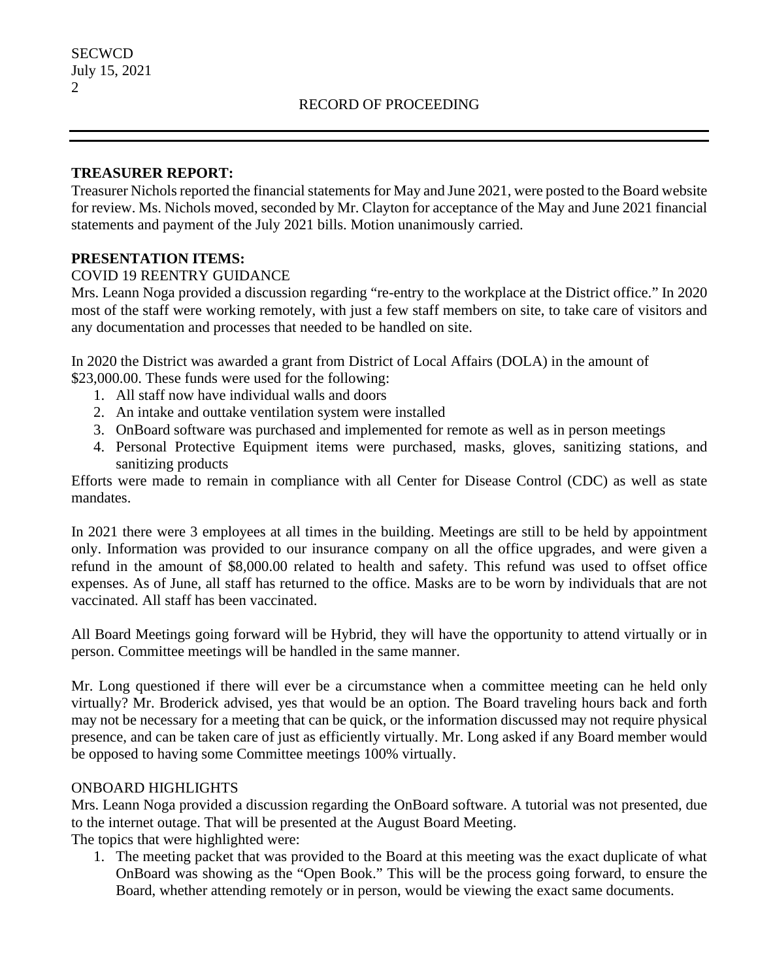### **TREASURER REPORT:**

Treasurer Nichols reported the financial statements for May and June 2021, were posted to the Board website for review. Ms. Nichols moved, seconded by Mr. Clayton for acceptance of the May and June 2021 financial statements and payment of the July 2021 bills. Motion unanimously carried.

### **PRESENTATION ITEMS:**

### COVID 19 REENTRY GUIDANCE

Mrs. Leann Noga provided a discussion regarding "re-entry to the workplace at the District office." In 2020 most of the staff were working remotely, with just a few staff members on site, to take care of visitors and any documentation and processes that needed to be handled on site.

In 2020 the District was awarded a grant from District of Local Affairs (DOLA) in the amount of \$23,000.00. These funds were used for the following:

- 1. All staff now have individual walls and doors
- 2. An intake and outtake ventilation system were installed
- 3. OnBoard software was purchased and implemented for remote as well as in person meetings
- 4. Personal Protective Equipment items were purchased, masks, gloves, sanitizing stations, and sanitizing products

Efforts were made to remain in compliance with all Center for Disease Control (CDC) as well as state mandates.

In 2021 there were 3 employees at all times in the building. Meetings are still to be held by appointment only. Information was provided to our insurance company on all the office upgrades, and were given a refund in the amount of \$8,000.00 related to health and safety. This refund was used to offset office expenses. As of June, all staff has returned to the office. Masks are to be worn by individuals that are not vaccinated. All staff has been vaccinated.

All Board Meetings going forward will be Hybrid, they will have the opportunity to attend virtually or in person. Committee meetings will be handled in the same manner.

Mr. Long questioned if there will ever be a circumstance when a committee meeting can he held only virtually? Mr. Broderick advised, yes that would be an option. The Board traveling hours back and forth may not be necessary for a meeting that can be quick, or the information discussed may not require physical presence, and can be taken care of just as efficiently virtually. Mr. Long asked if any Board member would be opposed to having some Committee meetings 100% virtually.

### ONBOARD HIGHLIGHTS

Mrs. Leann Noga provided a discussion regarding the OnBoard software. A tutorial was not presented, due to the internet outage. That will be presented at the August Board Meeting.

The topics that were highlighted were:

1. The meeting packet that was provided to the Board at this meeting was the exact duplicate of what OnBoard was showing as the "Open Book." This will be the process going forward, to ensure the Board, whether attending remotely or in person, would be viewing the exact same documents.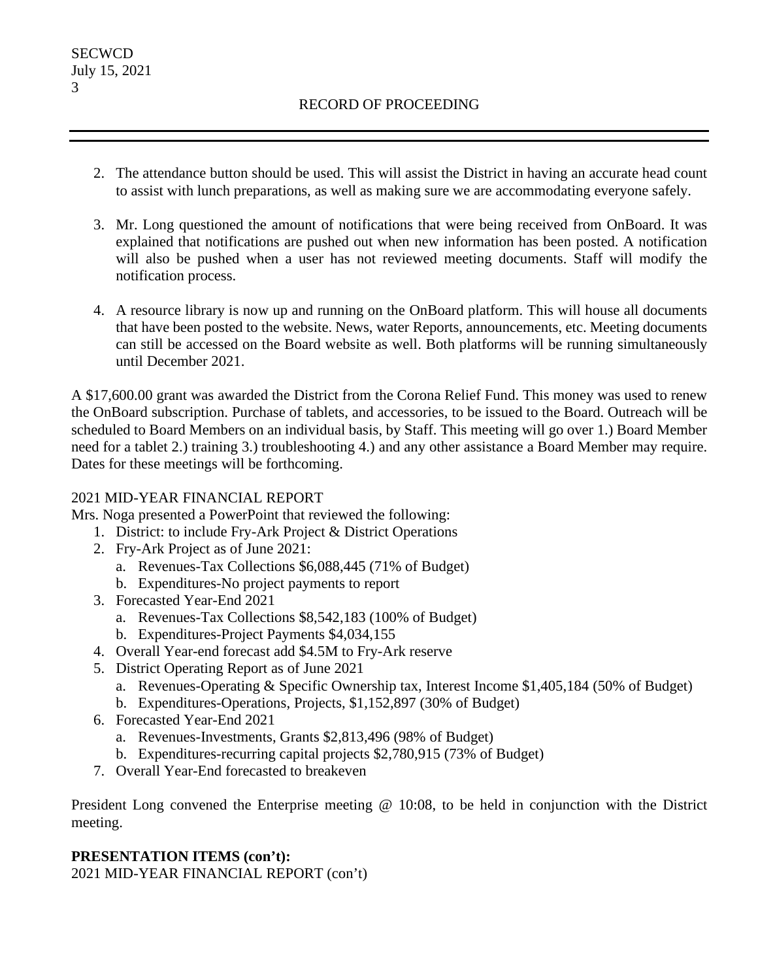- 2. The attendance button should be used. This will assist the District in having an accurate head count to assist with lunch preparations, as well as making sure we are accommodating everyone safely.
- 3. Mr. Long questioned the amount of notifications that were being received from OnBoard. It was explained that notifications are pushed out when new information has been posted. A notification will also be pushed when a user has not reviewed meeting documents. Staff will modify the notification process.
- 4. A resource library is now up and running on the OnBoard platform. This will house all documents that have been posted to the website. News, water Reports, announcements, etc. Meeting documents can still be accessed on the Board website as well. Both platforms will be running simultaneously until December 2021.

A \$17,600.00 grant was awarded the District from the Corona Relief Fund. This money was used to renew the OnBoard subscription. Purchase of tablets, and accessories, to be issued to the Board. Outreach will be scheduled to Board Members on an individual basis, by Staff. This meeting will go over 1.) Board Member need for a tablet 2.) training 3.) troubleshooting 4.) and any other assistance a Board Member may require. Dates for these meetings will be forthcoming.

## 2021 MID-YEAR FINANCIAL REPORT

Mrs. Noga presented a PowerPoint that reviewed the following:

- 1. District: to include Fry-Ark Project & District Operations
- 2. Fry-Ark Project as of June 2021:
	- a. Revenues-Tax Collections \$6,088,445 (71% of Budget)
	- b. Expenditures-No project payments to report
- 3. Forecasted Year-End 2021
	- a. Revenues-Tax Collections \$8,542,183 (100% of Budget)
	- b. Expenditures-Project Payments \$4,034,155
- 4. Overall Year-end forecast add \$4.5M to Fry-Ark reserve
- 5. District Operating Report as of June 2021
	- a. Revenues-Operating & Specific Ownership tax, Interest Income \$1,405,184 (50% of Budget)
	- b. Expenditures-Operations, Projects, \$1,152,897 (30% of Budget)
- 6. Forecasted Year-End 2021
	- a. Revenues-Investments, Grants \$2,813,496 (98% of Budget)
	- b. Expenditures-recurring capital projects \$2,780,915 (73% of Budget)
- 7. Overall Year-End forecasted to breakeven

President Long convened the Enterprise meeting @ 10:08, to be held in conjunction with the District meeting.

# **PRESENTATION ITEMS (con't):**

2021 MID-YEAR FINANCIAL REPORT (con't)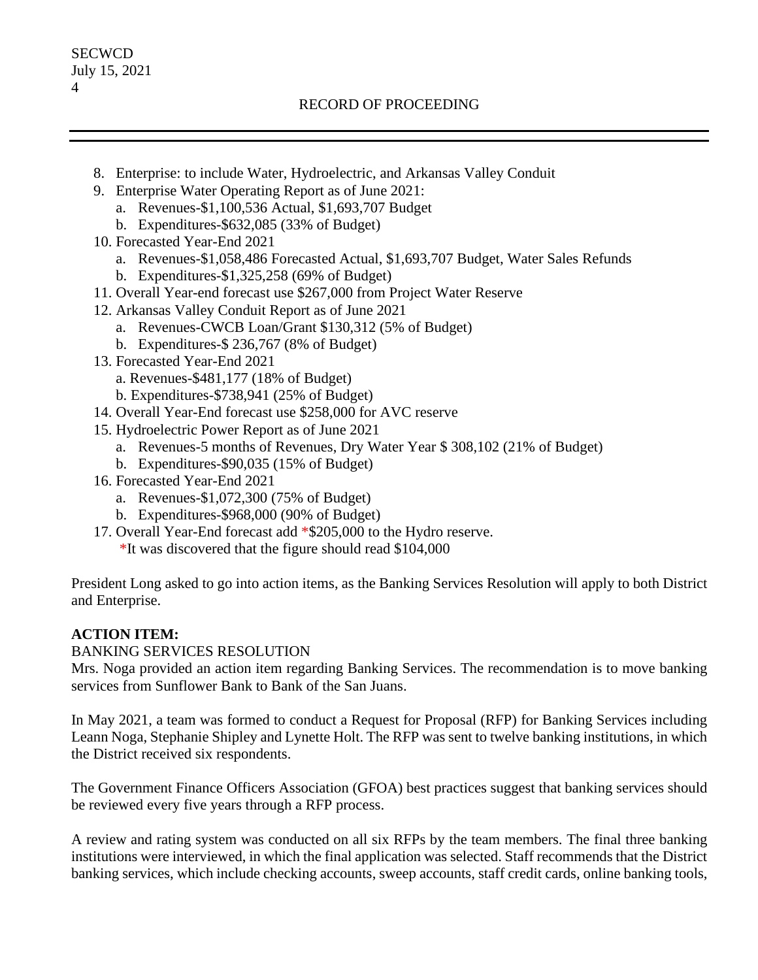- 8. Enterprise: to include Water, Hydroelectric, and Arkansas Valley Conduit
- 9. Enterprise Water Operating Report as of June 2021:
	- a. Revenues-\$1,100,536 Actual, \$1,693,707 Budget
	- b. Expenditures-\$632,085 (33% of Budget)
- 10. Forecasted Year-End 2021
	- a. Revenues-\$1,058,486 Forecasted Actual, \$1,693,707 Budget, Water Sales Refunds
	- b. Expenditures-\$1,325,258 (69% of Budget)
- 11. Overall Year-end forecast use \$267,000 from Project Water Reserve
- 12. Arkansas Valley Conduit Report as of June 2021
	- a. Revenues-CWCB Loan/Grant \$130,312 (5% of Budget)
	- b. Expenditures-\$ 236,767 (8% of Budget)
- 13. Forecasted Year-End 2021
	- a. Revenues-\$481,177 (18% of Budget)
	- b. Expenditures-\$738,941 (25% of Budget)
- 14. Overall Year-End forecast use \$258,000 for AVC reserve
- 15. Hydroelectric Power Report as of June 2021
	- a. Revenues-5 months of Revenues, Dry Water Year \$ 308,102 (21% of Budget)
	- b. Expenditures-\$90,035 (15% of Budget)
- 16. Forecasted Year-End 2021
	- a. Revenues-\$1,072,300 (75% of Budget)
	- b. Expenditures-\$968,000 (90% of Budget)
- 17. Overall Year-End forecast add \*\$205,000 to the Hydro reserve.
	- \*It was discovered that the figure should read \$104,000

President Long asked to go into action items, as the Banking Services Resolution will apply to both District and Enterprise.

# **ACTION ITEM:**

## BANKING SERVICES RESOLUTION

Mrs. Noga provided an action item regarding Banking Services. The recommendation is to move banking services from Sunflower Bank to Bank of the San Juans.

In May 2021, a team was formed to conduct a Request for Proposal (RFP) for Banking Services including Leann Noga, Stephanie Shipley and Lynette Holt. The RFP was sent to twelve banking institutions, in which the District received six respondents.

The Government Finance Officers Association (GFOA) best practices suggest that banking services should be reviewed every five years through a RFP process.

A review and rating system was conducted on all six RFPs by the team members. The final three banking institutions were interviewed, in which the final application was selected. Staff recommends that the District banking services, which include checking accounts, sweep accounts, staff credit cards, online banking tools,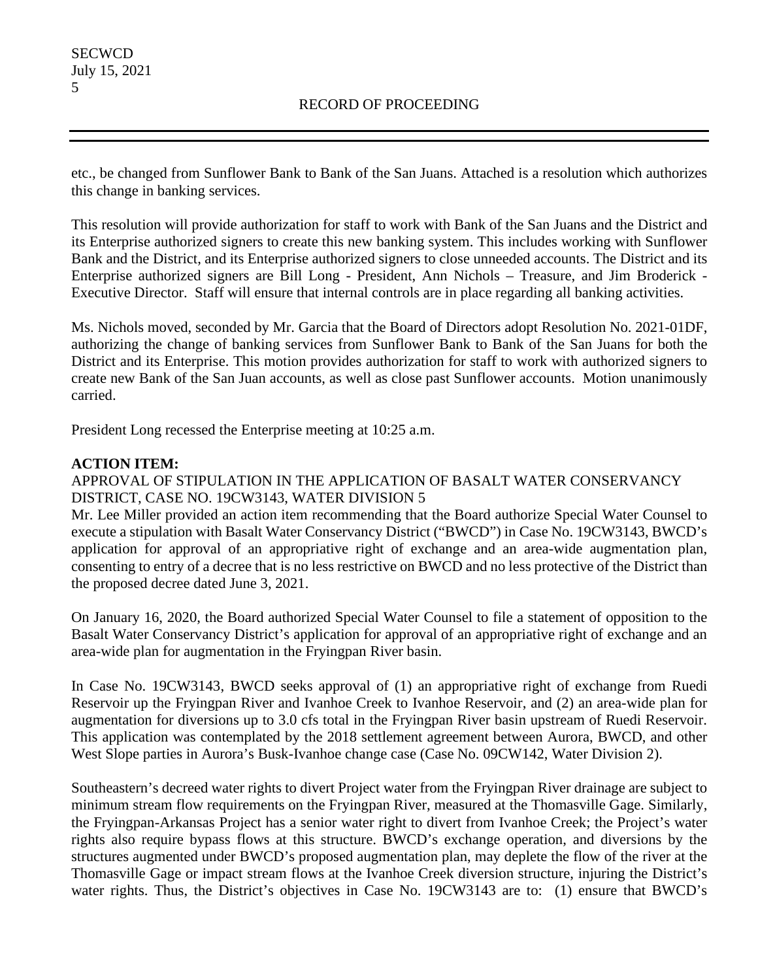etc., be changed from Sunflower Bank to Bank of the San Juans. Attached is a resolution which authorizes this change in banking services.

This resolution will provide authorization for staff to work with Bank of the San Juans and the District and its Enterprise authorized signers to create this new banking system. This includes working with Sunflower Bank and the District, and its Enterprise authorized signers to close unneeded accounts. The District and its Enterprise authorized signers are Bill Long - President, Ann Nichols – Treasure, and Jim Broderick - Executive Director. Staff will ensure that internal controls are in place regarding all banking activities.

Ms. Nichols moved, seconded by Mr. Garcia that the Board of Directors adopt Resolution No. 2021-01DF, authorizing the change of banking services from Sunflower Bank to Bank of the San Juans for both the District and its Enterprise. This motion provides authorization for staff to work with authorized signers to create new Bank of the San Juan accounts, as well as close past Sunflower accounts. Motion unanimously carried.

President Long recessed the Enterprise meeting at 10:25 a.m.

### **ACTION ITEM:**

## APPROVAL OF STIPULATION IN THE APPLICATION OF BASALT WATER CONSERVANCY DISTRICT, CASE NO. 19CW3143, WATER DIVISION 5

Mr. Lee Miller provided an action item recommending that the Board authorize Special Water Counsel to execute a stipulation with Basalt Water Conservancy District ("BWCD") in Case No. 19CW3143, BWCD's application for approval of an appropriative right of exchange and an area-wide augmentation plan, consenting to entry of a decree that is no less restrictive on BWCD and no less protective of the District than the proposed decree dated June 3, 2021.

On January 16, 2020, the Board authorized Special Water Counsel to file a statement of opposition to the Basalt Water Conservancy District's application for approval of an appropriative right of exchange and an area-wide plan for augmentation in the Fryingpan River basin.

In Case No. 19CW3143, BWCD seeks approval of (1) an appropriative right of exchange from Ruedi Reservoir up the Fryingpan River and Ivanhoe Creek to Ivanhoe Reservoir, and (2) an area-wide plan for augmentation for diversions up to 3.0 cfs total in the Fryingpan River basin upstream of Ruedi Reservoir. This application was contemplated by the 2018 settlement agreement between Aurora, BWCD, and other West Slope parties in Aurora's Busk-Ivanhoe change case (Case No. 09CW142, Water Division 2).

Southeastern's decreed water rights to divert Project water from the Fryingpan River drainage are subject to minimum stream flow requirements on the Fryingpan River, measured at the Thomasville Gage. Similarly, the Fryingpan-Arkansas Project has a senior water right to divert from Ivanhoe Creek; the Project's water rights also require bypass flows at this structure. BWCD's exchange operation, and diversions by the structures augmented under BWCD's proposed augmentation plan, may deplete the flow of the river at the Thomasville Gage or impact stream flows at the Ivanhoe Creek diversion structure, injuring the District's water rights. Thus, the District's objectives in Case No. 19CW3143 are to: (1) ensure that BWCD's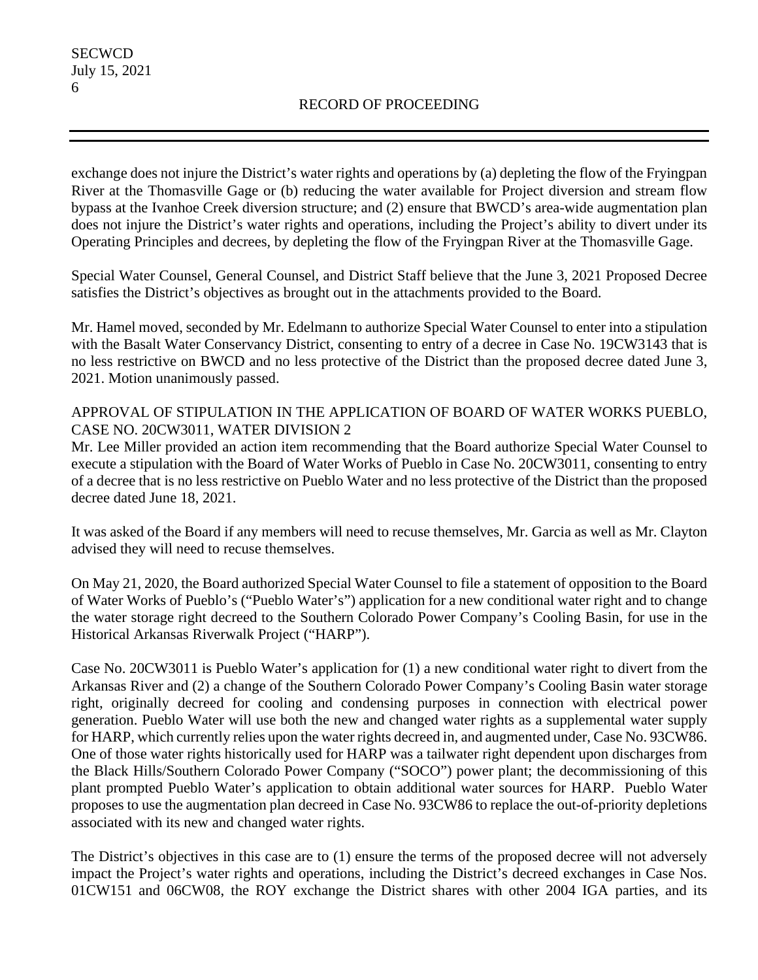exchange does not injure the District's water rights and operations by (a) depleting the flow of the Fryingpan River at the Thomasville Gage or (b) reducing the water available for Project diversion and stream flow bypass at the Ivanhoe Creek diversion structure; and (2) ensure that BWCD's area-wide augmentation plan does not injure the District's water rights and operations, including the Project's ability to divert under its Operating Principles and decrees, by depleting the flow of the Fryingpan River at the Thomasville Gage.

Special Water Counsel, General Counsel, and District Staff believe that the June 3, 2021 Proposed Decree satisfies the District's objectives as brought out in the attachments provided to the Board.

Mr. Hamel moved, seconded by Mr. Edelmann to authorize Special Water Counsel to enter into a stipulation with the Basalt Water Conservancy District, consenting to entry of a decree in Case No. 19CW3143 that is no less restrictive on BWCD and no less protective of the District than the proposed decree dated June 3, 2021. Motion unanimously passed.

## APPROVAL OF STIPULATION IN THE APPLICATION OF BOARD OF WATER WORKS PUEBLO, CASE NO. 20CW3011, WATER DIVISION 2

Mr. Lee Miller provided an action item recommending that the Board authorize Special Water Counsel to execute a stipulation with the Board of Water Works of Pueblo in Case No. 20CW3011, consenting to entry of a decree that is no less restrictive on Pueblo Water and no less protective of the District than the proposed decree dated June 18, 2021.

It was asked of the Board if any members will need to recuse themselves, Mr. Garcia as well as Mr. Clayton advised they will need to recuse themselves.

On May 21, 2020, the Board authorized Special Water Counsel to file a statement of opposition to the Board of Water Works of Pueblo's ("Pueblo Water's") application for a new conditional water right and to change the water storage right decreed to the Southern Colorado Power Company's Cooling Basin, for use in the Historical Arkansas Riverwalk Project ("HARP").

Case No. 20CW3011 is Pueblo Water's application for (1) a new conditional water right to divert from the Arkansas River and (2) a change of the Southern Colorado Power Company's Cooling Basin water storage right, originally decreed for cooling and condensing purposes in connection with electrical power generation. Pueblo Water will use both the new and changed water rights as a supplemental water supply for HARP, which currently relies upon the water rights decreed in, and augmented under, Case No. 93CW86. One of those water rights historically used for HARP was a tailwater right dependent upon discharges from the Black Hills/Southern Colorado Power Company ("SOCO") power plant; the decommissioning of this plant prompted Pueblo Water's application to obtain additional water sources for HARP. Pueblo Water proposes to use the augmentation plan decreed in Case No. 93CW86 to replace the out-of-priority depletions associated with its new and changed water rights.

The District's objectives in this case are to (1) ensure the terms of the proposed decree will not adversely impact the Project's water rights and operations, including the District's decreed exchanges in Case Nos. 01CW151 and 06CW08, the ROY exchange the District shares with other 2004 IGA parties, and its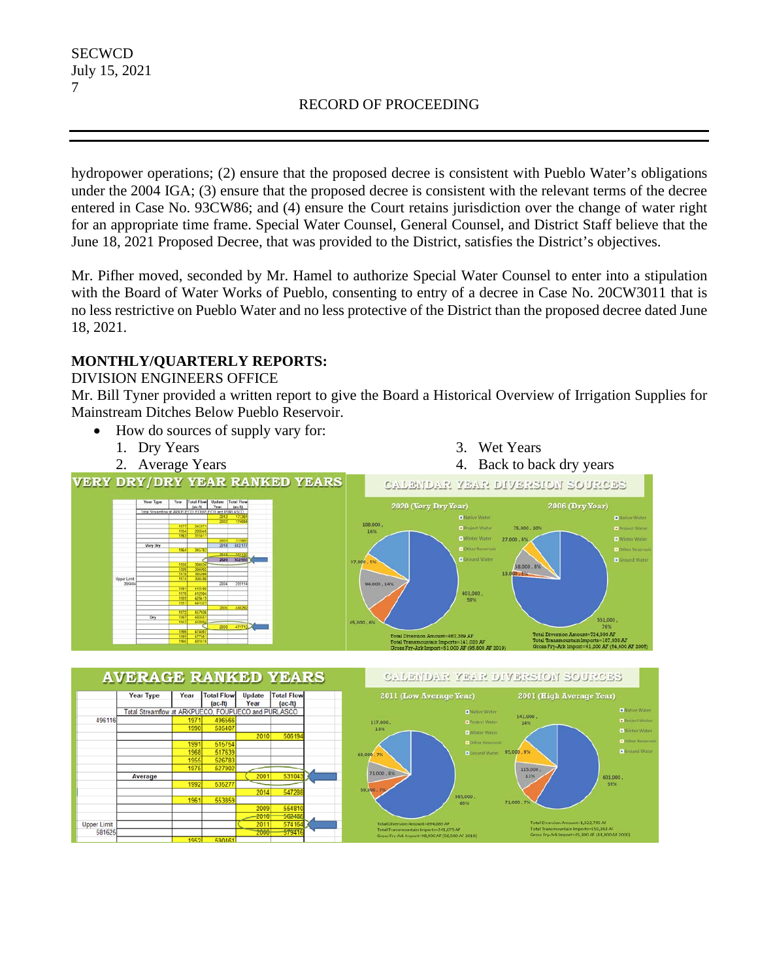hydropower operations; (2) ensure that the proposed decree is consistent with Pueblo Water's obligations under the 2004 IGA; (3) ensure that the proposed decree is consistent with the relevant terms of the decree entered in Case No. 93CW86; and (4) ensure the Court retains jurisdiction over the change of water right for an appropriate time frame. Special Water Counsel, General Counsel, and District Staff believe that the June 18, 2021 Proposed Decree, that was provided to the District, satisfies the District's objectives.

Mr. Pifher moved, seconded by Mr. Hamel to authorize Special Water Counsel to enter into a stipulation with the Board of Water Works of Pueblo, consenting to entry of a decree in Case No. 20CW3011 that is no less restrictive on Pueblo Water and no less protective of the District than the proposed decree dated June 18, 2021.

# **MONTHLY/QUARTERLY REPORTS:**

### DIVISION ENGINEERS OFFICE

Mr. Bill Tyner provided a written report to give the Board a Historical Overview of Irrigation Supplies for Mainstream Ditches Below Pueblo Reservoir.

- How do sources of supply vary for:
	- 1. Dry Years



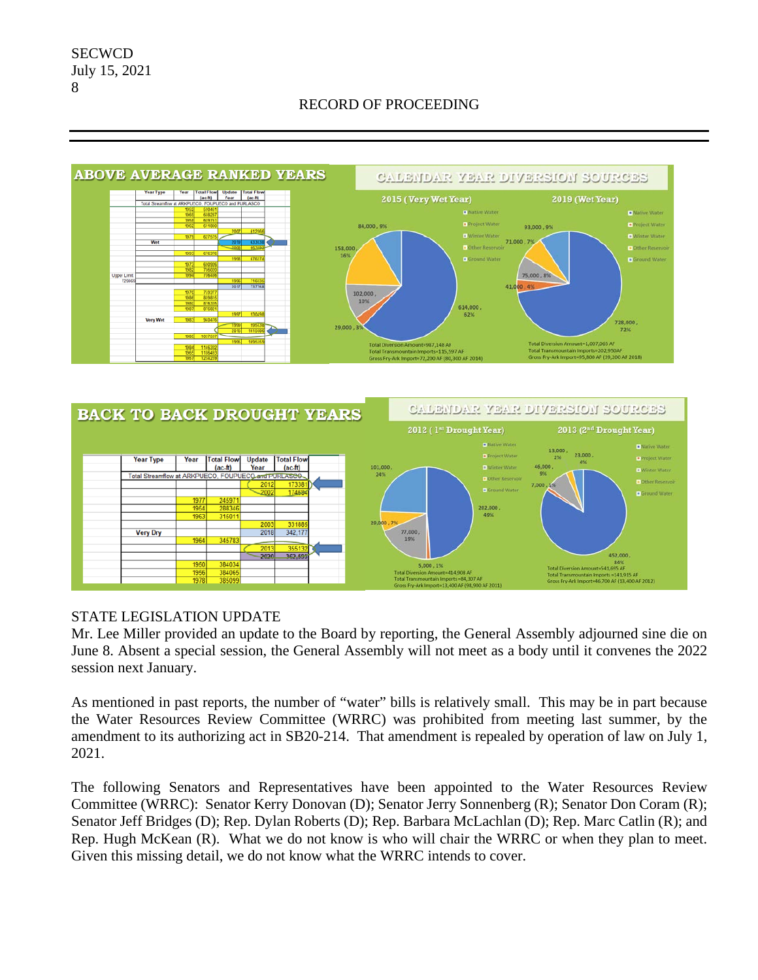





### STATE LEGISLATION UPDATE

Mr. Lee Miller provided an update to the Board by reporting, the General Assembly adjourned sine die on June 8. Absent a special session, the General Assembly will not meet as a body until it convenes the 2022 session next January.

As mentioned in past reports, the number of "water" bills is relatively small. This may be in part because the Water Resources Review Committee (WRRC) was prohibited from meeting last summer, by the amendment to its authorizing act in SB20-214. That amendment is repealed by operation of law on July 1, 2021.

The following Senators and Representatives have been appointed to the Water Resources Review Committee (WRRC): Senator Kerry Donovan (D); Senator Jerry Sonnenberg (R); Senator Don Coram (R); Senator Jeff Bridges (D); Rep. Dylan Roberts (D); Rep. Barbara McLachlan (D); Rep. Marc Catlin (R); and Rep. Hugh McKean (R). What we do not know is who will chair the WRRC or when they plan to meet. Given this missing detail, we do not know what the WRRC intends to cover.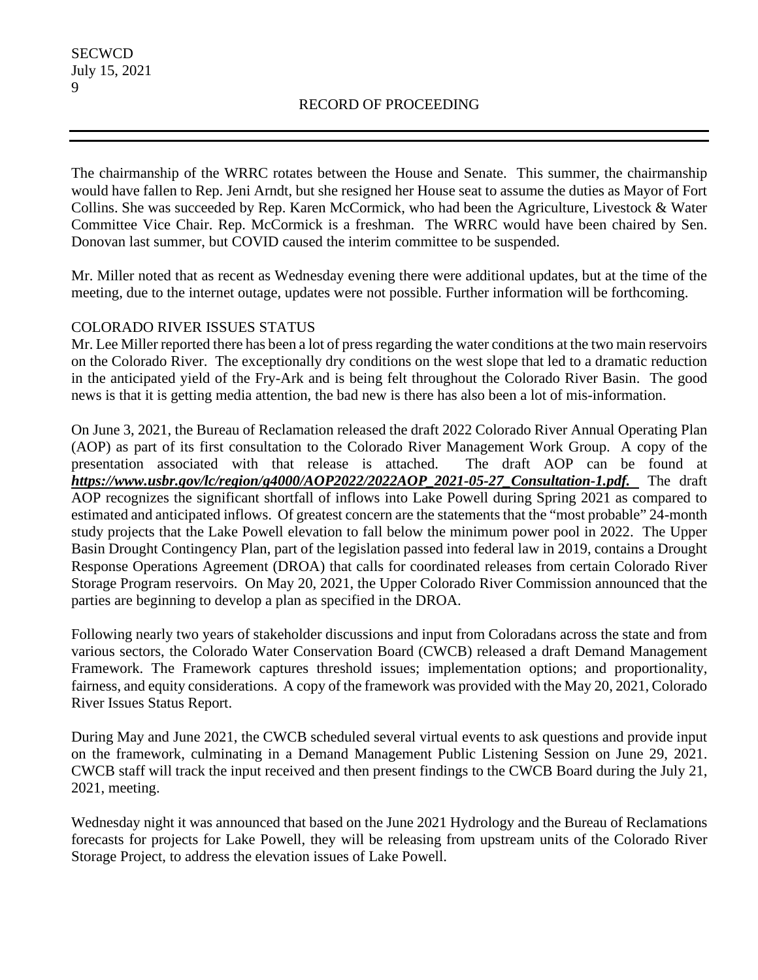The chairmanship of the WRRC rotates between the House and Senate. This summer, the chairmanship would have fallen to Rep. Jeni Arndt, but she resigned her House seat to assume the duties as Mayor of Fort Collins. She was succeeded by Rep. Karen McCormick, who had been the Agriculture, Livestock & Water Committee Vice Chair. Rep. McCormick is a freshman. The WRRC would have been chaired by Sen. Donovan last summer, but COVID caused the interim committee to be suspended.

Mr. Miller noted that as recent as Wednesday evening there were additional updates, but at the time of the meeting, due to the internet outage, updates were not possible. Further information will be forthcoming.

### COLORADO RIVER ISSUES STATUS

Mr. Lee Miller reported there has been a lot of press regarding the water conditions at the two main reservoirs on the Colorado River. The exceptionally dry conditions on the west slope that led to a dramatic reduction in the anticipated yield of the Fry-Ark and is being felt throughout the Colorado River Basin. The good news is that it is getting media attention, the bad new is there has also been a lot of mis-information.

On June 3, 2021, the Bureau of Reclamation released the draft 2022 Colorado River Annual Operating Plan (AOP) as part of its first consultation to the Colorado River Management Work Group. A copy of the presentation associated with that release is attached. The draft AOP can be found at *https://www.usbr.gov/lc/region/g4000/AOP2022/2022AOP\_2021-05-27\_Consultation-1.pdf.* The draft AOP recognizes the significant shortfall of inflows into Lake Powell during Spring 2021 as compared to estimated and anticipated inflows. Of greatest concern are the statements that the "most probable" 24-month study projects that the Lake Powell elevation to fall below the minimum power pool in 2022. The Upper Basin Drought Contingency Plan, part of the legislation passed into federal law in 2019, contains a Drought Response Operations Agreement (DROA) that calls for coordinated releases from certain Colorado River Storage Program reservoirs. On May 20, 2021, the Upper Colorado River Commission announced that the parties are beginning to develop a plan as specified in the DROA.

Following nearly two years of stakeholder discussions and input from Coloradans across the state and from various sectors, the Colorado Water Conservation Board (CWCB) released a draft Demand Management Framework. The Framework captures threshold issues; implementation options; and proportionality, fairness, and equity considerations. A copy of the framework was provided with the May 20, 2021, Colorado River Issues Status Report.

During May and June 2021, the CWCB scheduled several virtual events to ask questions and provide input on the framework, culminating in a Demand Management Public Listening Session on June 29, 2021. CWCB staff will track the input received and then present findings to the CWCB Board during the July 21, 2021, meeting.

Wednesday night it was announced that based on the June 2021 Hydrology and the Bureau of Reclamations forecasts for projects for Lake Powell, they will be releasing from upstream units of the Colorado River Storage Project, to address the elevation issues of Lake Powell.